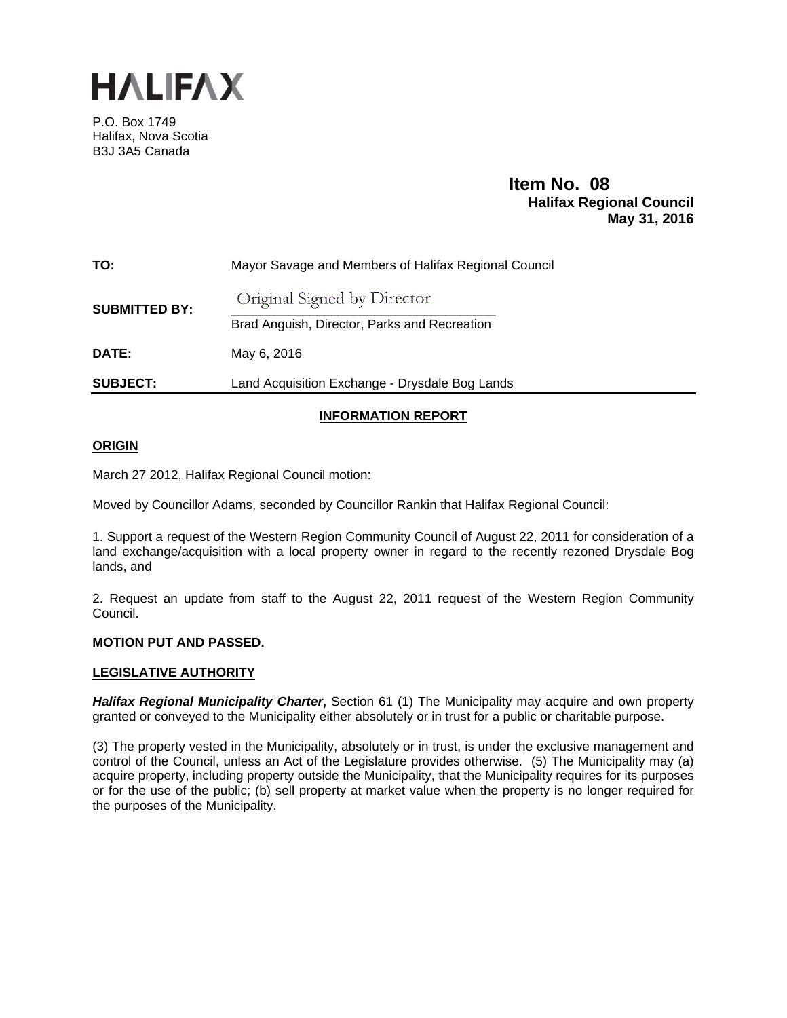

P.O. Box 1749 Halifax, Nova Scotia B3J 3A5 Canada

# **Item No. 08**<br>**Halifax Regional Council May 31, 2016**

| TO:                  | Mayor Savage and Members of Halifax Regional Council                        |
|----------------------|-----------------------------------------------------------------------------|
| <b>SUBMITTED BY:</b> | Original Signed by Director<br>Brad Anguish, Director, Parks and Recreation |
| DATE:                | May 6, 2016                                                                 |
| <b>SUBJECT:</b>      | Land Acquisition Exchange - Drysdale Bog Lands                              |

# **INFORMATION REPORT**

## **ORIGIN**

March 27 2012, Halifax Regional Council motion:

Moved by Councillor Adams, seconded by Councillor Rankin that Halifax Regional Council:

1. Support a request of the Western Region Community Council of August 22, 2011 for consideration of a land exchange/acquisition with a local property owner in regard to the recently rezoned Drysdale Bog lands, and

2. Request an update from staff to the August 22, 2011 request of the Western Region Community Council.

## **MOTION PUT AND PASSED.**

## **LEGISLATIVE AUTHORITY**

**Halifax Regional Municipality Charter**, Section 61 (1) The Municipality may acquire and own property granted or conveyed to the Municipality either absolutely or in trust for a public or charitable purpose.

(3) The property vested in the Municipality, absolutely or in trust, is under the exclusive management and control of the Council, unless an Act of the Legislature provides otherwise. (5) The Municipality may (a) acquire property, including property outside the Municipality, that the Municipality requires for its purposes or for the use of the public; (b) sell property at market value when the property is no longer required for the purposes of the Municipality.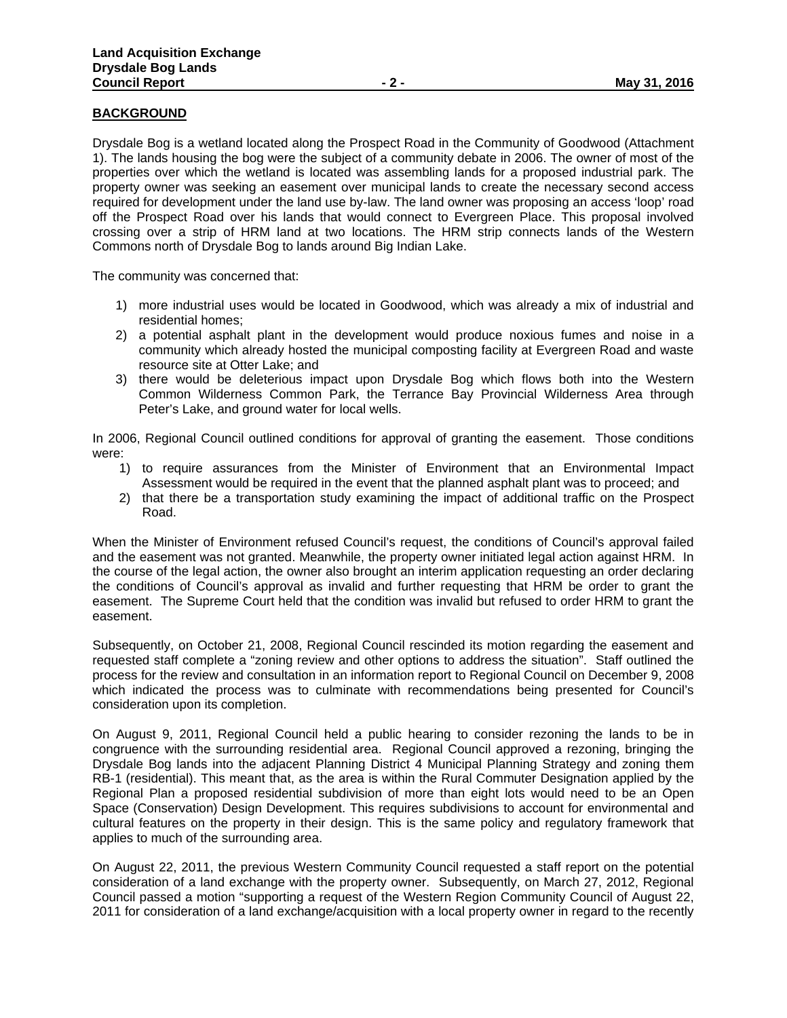# **BACKGROUND**

Drysdale Bog is a wetland located along the Prospect Road in the Community of Goodwood (Attachment 1). The lands housing the bog were the subject of a community debate in 2006. The owner of most of the properties over which the wetland is located was assembling lands for a proposed industrial park. The property owner was seeking an easement over municipal lands to create the necessary second access required for development under the land use by-law. The land owner was proposing an access 'loop' road off the Prospect Road over his lands that would connect to Evergreen Place. This proposal involved crossing over a strip of HRM land at two locations. The HRM strip connects lands of the Western Commons north of Drysdale Bog to lands around Big Indian Lake.

The community was concerned that:

- 1) more industrial uses would be located in Goodwood, which was already a mix of industrial and residential homes;
- 2) a potential asphalt plant in the development would produce noxious fumes and noise in a community which already hosted the municipal composting facility at Evergreen Road and waste resource site at Otter Lake; and
- 3) there would be deleterious impact upon Drysdale Bog which flows both into the Western Common Wilderness Common Park, the Terrance Bay Provincial Wilderness Area through Peter's Lake, and ground water for local wells.

In 2006, Regional Council outlined conditions for approval of granting the easement. Those conditions were:

- 1) to require assurances from the Minister of Environment that an Environmental Impact Assessment would be required in the event that the planned asphalt plant was to proceed; and
- 2) that there be a transportation study examining the impact of additional traffic on the Prospect Road.

When the Minister of Environment refused Council's request, the conditions of Council's approval failed and the easement was not granted. Meanwhile, the property owner initiated legal action against HRM. In the course of the legal action, the owner also brought an interim application requesting an order declaring the conditions of Council's approval as invalid and further requesting that HRM be order to grant the easement. The Supreme Court held that the condition was invalid but refused to order HRM to grant the easement.

Subsequently, on October 21, 2008, Regional Council rescinded its motion regarding the easement and requested staff complete a "zoning review and other options to address the situation". Staff outlined the process for the review and consultation in an information report to Regional Council on December 9, 2008 which indicated the process was to culminate with recommendations being presented for Council's consideration upon its completion.

On August 9, 2011, Regional Council held a public hearing to consider rezoning the lands to be in congruence with the surrounding residential area. Regional Council approved a rezoning, bringing the Drysdale Bog lands into the adjacent Planning District 4 Municipal Planning Strategy and zoning them RB-1 (residential). This meant that, as the area is within the Rural Commuter Designation applied by the Regional Plan a proposed residential subdivision of more than eight lots would need to be an Open Space (Conservation) Design Development. This requires subdivisions to account for environmental and cultural features on the property in their design. This is the same policy and regulatory framework that applies to much of the surrounding area.

On August 22, 2011, the previous Western Community Council requested a staff report on the potential consideration of a land exchange with the property owner. Subsequently, on March 27, 2012, Regional Council passed a motion "supporting a request of the Western Region Community Council of August 22, 2011 for consideration of a land exchange/acquisition with a local property owner in regard to the recently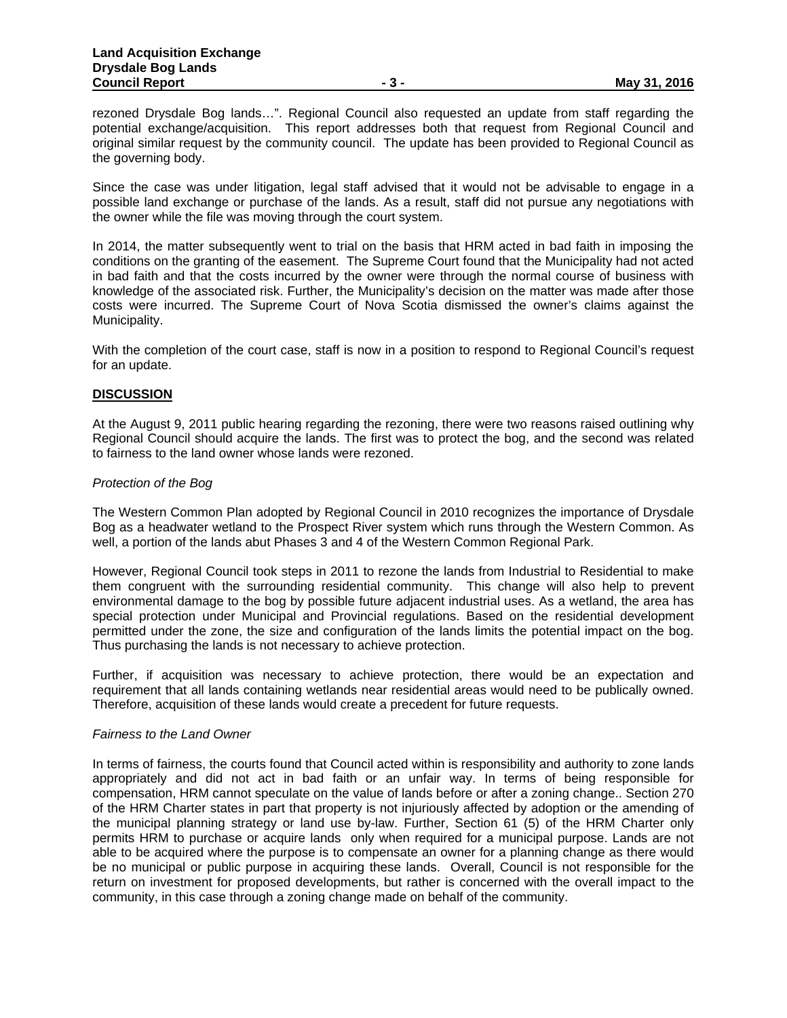rezoned Drysdale Bog lands…". Regional Council also requested an update from staff regarding the potential exchange/acquisition. This report addresses both that request from Regional Council and original similar request by the community council. The update has been provided to Regional Council as the governing body.

Since the case was under litigation, legal staff advised that it would not be advisable to engage in a possible land exchange or purchase of the lands. As a result, staff did not pursue any negotiations with the owner while the file was moving through the court system.

In 2014, the matter subsequently went to trial on the basis that HRM acted in bad faith in imposing the conditions on the granting of the easement. The Supreme Court found that the Municipality had not acted in bad faith and that the costs incurred by the owner were through the normal course of business with knowledge of the associated risk. Further, the Municipality's decision on the matter was made after those costs were incurred. The Supreme Court of Nova Scotia dismissed the owner's claims against the Municipality.

With the completion of the court case, staff is now in a position to respond to Regional Council's request for an update.

#### **DISCUSSION**

At the August 9, 2011 public hearing regarding the rezoning, there were two reasons raised outlining why Regional Council should acquire the lands. The first was to protect the bog, and the second was related to fairness to the land owner whose lands were rezoned.

#### *Protection of the Bog*

The Western Common Plan adopted by Regional Council in 2010 recognizes the importance of Drysdale Bog as a headwater wetland to the Prospect River system which runs through the Western Common. As well, a portion of the lands abut Phases 3 and 4 of the Western Common Regional Park.

However, Regional Council took steps in 2011 to rezone the lands from Industrial to Residential to make them congruent with the surrounding residential community. This change will also help to prevent environmental damage to the bog by possible future adjacent industrial uses. As a wetland, the area has special protection under Municipal and Provincial regulations. Based on the residential development permitted under the zone, the size and configuration of the lands limits the potential impact on the bog. Thus purchasing the lands is not necessary to achieve protection.

Further, if acquisition was necessary to achieve protection, there would be an expectation and requirement that all lands containing wetlands near residential areas would need to be publically owned. Therefore, acquisition of these lands would create a precedent for future requests.

## *Fairness to the Land Owner*

In terms of fairness, the courts found that Council acted within is responsibility and authority to zone lands appropriately and did not act in bad faith or an unfair way. In terms of being responsible for compensation, HRM cannot speculate on the value of lands before or after a zoning change.. Section 270 of the HRM Charter states in part that property is not injuriously affected by adoption or the amending of the municipal planning strategy or land use by-law. Further, Section 61 (5) of the HRM Charter only permits HRM to purchase or acquire lands only when required for a municipal purpose. Lands are not able to be acquired where the purpose is to compensate an owner for a planning change as there would be no municipal or public purpose in acquiring these lands. Overall, Council is not responsible for the return on investment for proposed developments, but rather is concerned with the overall impact to the community, in this case through a zoning change made on behalf of the community.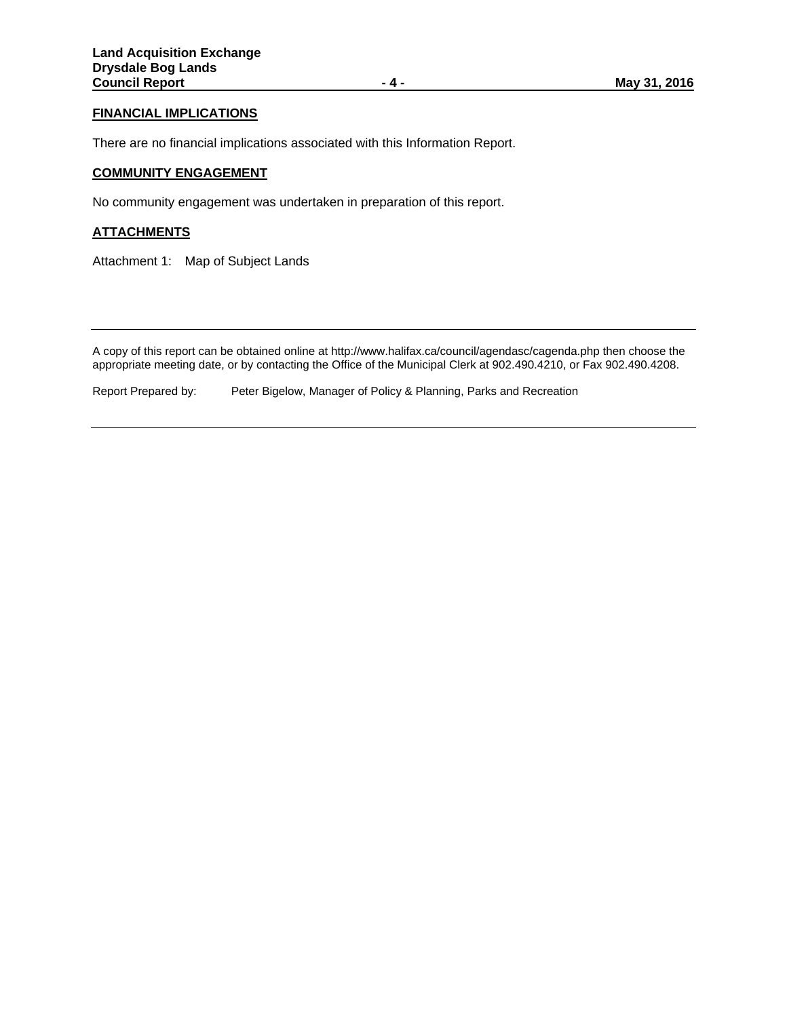# **FINANCIAL IMPLICATIONS**

There are no financial implications associated with this Information Report.

# **COMMUNITY ENGAGEMENT**

No community engagement was undertaken in preparation of this report.

## **ATTACHMENTS**

Attachment 1: Map of Subject Lands

A copy of this report can be obtained online at http://www.halifax.ca/council/agendasc/cagenda.php then choose the appropriate meeting date, or by contacting the Office of the Municipal Clerk at 902.490.4210, or Fax 902.490.4208.

Report Prepared by: Peter Bigelow, Manager of Policy & Planning, Parks and Recreation